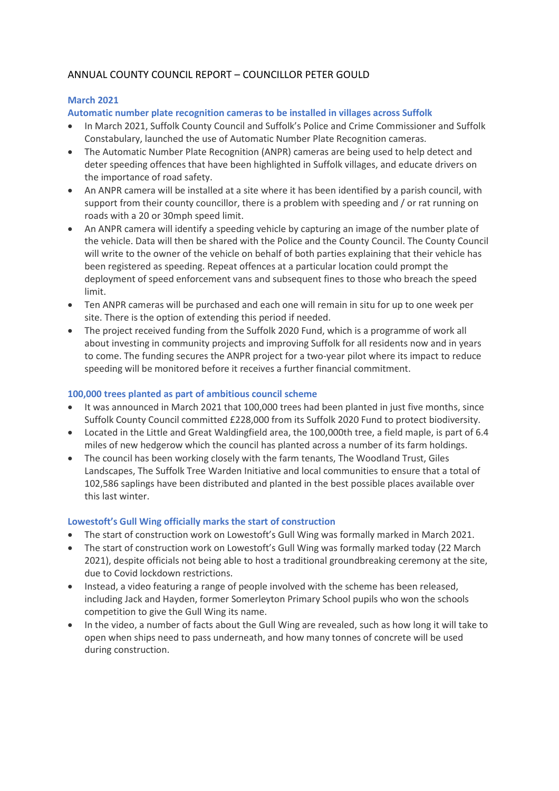# ANNUAL COUNTY COUNCIL REPORT – COUNCILLOR PETER GOULD

# **March 2021**

**Automatic number plate recognition cameras to be installed in villages across Suffolk**

- In March 2021, Suffolk County Council and Suffolk's Police and Crime Commissioner and Suffolk Constabulary, launched the use of Automatic Number Plate Recognition cameras.
- The Automatic Number Plate Recognition (ANPR) cameras are being used to help detect and deter speeding offences that have been highlighted in Suffolk villages, and educate drivers on the importance of road safety.
- An ANPR camera will be installed at a site where it has been identified by a parish council, with support from their county councillor, there is a problem with speeding and / or rat running on roads with a 20 or 30mph speed limit.
- An ANPR camera will identify a speeding vehicle by capturing an image of the number plate of the vehicle. Data will then be shared with the Police and the County Council. The County Council will write to the owner of the vehicle on behalf of both parties explaining that their vehicle has been registered as speeding. Repeat offences at a particular location could prompt the deployment of speed enforcement vans and subsequent fines to those who breach the speed limit.
- Ten ANPR cameras will be purchased and each one will remain in situ for up to one week per site. There is the option of extending this period if needed.
- The project received funding from the Suffolk 2020 Fund, which is a programme of work all about investing in community projects and improving Suffolk for all residents now and in years to come. The funding secures the ANPR project for a two-year pilot where its impact to reduce speeding will be monitored before it receives a further financial commitment.

# **100,000 trees planted as part of ambitious council scheme**

- It was announced in March 2021 that 100,000 trees had been planted in just five months, since Suffolk County Council committed £228,000 from its Suffolk 2020 Fund to protect biodiversity.
- Located in the Little and Great Waldingfield area, the 100,000th tree, a field maple, is part of 6.4 miles of new hedgerow which the council has planted across a number of its farm holdings.
- The council has been working closely with the farm tenants, The Woodland Trust, Giles Landscapes, The Suffolk Tree Warden Initiative and local communities to ensure that a total of 102,586 saplings have been distributed and planted in the best possible places available over this last winter.

# **Lowestoft's Gull Wing officially marks the start of construction**

- The start of construction work on Lowestoft's Gull Wing was formally marked in March 2021.
- The start of construction work on Lowestoft's Gull Wing was formally marked today (22 March 2021), despite officials not being able to host a traditional groundbreaking ceremony at the site, due to Covid lockdown restrictions.
- Instead, a video featuring a range of people involved with the scheme has been released, including Jack and Hayden, former Somerleyton Primary School pupils who won the schools competition to give the Gull Wing its name.
- In the video, a number of facts about the Gull Wing are revealed, such as how long it will take to open when ships need to pass underneath, and how many tonnes of concrete will be used during construction.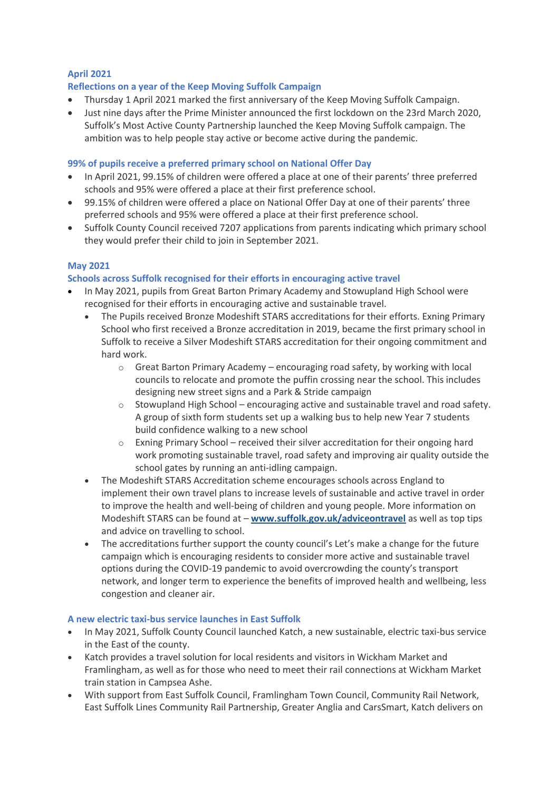# **April 2021**

#### **Reflections on a year of the Keep Moving Suffolk Campaign**

- Thursday 1 April 2021 marked the first anniversary of the Keep Moving Suffolk Campaign.
- Just nine days after the Prime Minister announced the first lockdown on the 23rd March 2020, Suffolk's Most Active County Partnership launched the Keep Moving Suffolk campaign. The ambition was to help people stay active or become active during the pandemic.

#### **99% of pupils receive a preferred primary school on National Offer Day**

- In April 2021, 99.15% of children were offered a place at one of their parents' three preferred schools and 95% were offered a place at their first preference school.
- 99.15% of children were offered a place on National Offer Day at one of their parents' three preferred schools and 95% were offered a place at their first preference school.
- Suffolk County Council received 7207 applications from parents indicating which primary school they would prefer their child to join in September 2021.

#### **May 2021**

#### **Schools across Suffolk recognised for their efforts in encouraging active travel**

- In May 2021, pupils from Great Barton Primary Academy and Stowupland High School were recognised for their efforts in encouraging active and sustainable travel.
	- The Pupils received Bronze Modeshift STARS accreditations for their efforts. Exning Primary School who first received a Bronze accreditation in 2019, became the first primary school in Suffolk to receive a Silver Modeshift STARS accreditation for their ongoing commitment and hard work.
		- $\circ$  Great Barton Primary Academy encouraging road safety, by working with local councils to relocate and promote the puffin crossing near the school. This includes designing new street signs and a Park & Stride campaign
		- $\circ$  Stowupland High School encouraging active and sustainable travel and road safety. A group of sixth form students set up a walking bus to help new Year 7 students build confidence walking to a new school
		- $\circ$  Exning Primary School received their silver accreditation for their ongoing hard work promoting sustainable travel, road safety and improving air quality outside the school gates by running an anti-idling campaign.
	- The Modeshift STARS Accreditation scheme encourages schools across England to implement their own travel plans to increase levels of sustainable and active travel in order to improve the health and well-being of children and young people. More information on Modeshift STARS can be found at – **[www.suffolk.gov.uk/adviceontravel](about:blank)** as well as top tips and advice on travelling to school.
	- The accreditations further support the county council's Let's make a change for the future campaign which is encouraging residents to consider more active and sustainable travel options during the COVID-19 pandemic to avoid overcrowding the county's transport network, and longer term to experience the benefits of improved health and wellbeing, less congestion and cleaner air.

#### **A new electric taxi-bus service launches in East Suffolk**

- In May 2021, Suffolk County Council launched Katch, a new sustainable, electric taxi-bus service in the East of the county.
- Katch provides a travel solution for local residents and visitors in Wickham Market and Framlingham, as well as for those who need to meet their rail connections at Wickham Market train station in Campsea Ashe.
- With support from East Suffolk Council, Framlingham Town Council, Community Rail Network, East Suffolk Lines Community Rail Partnership, Greater Anglia and CarsSmart, Katch delivers on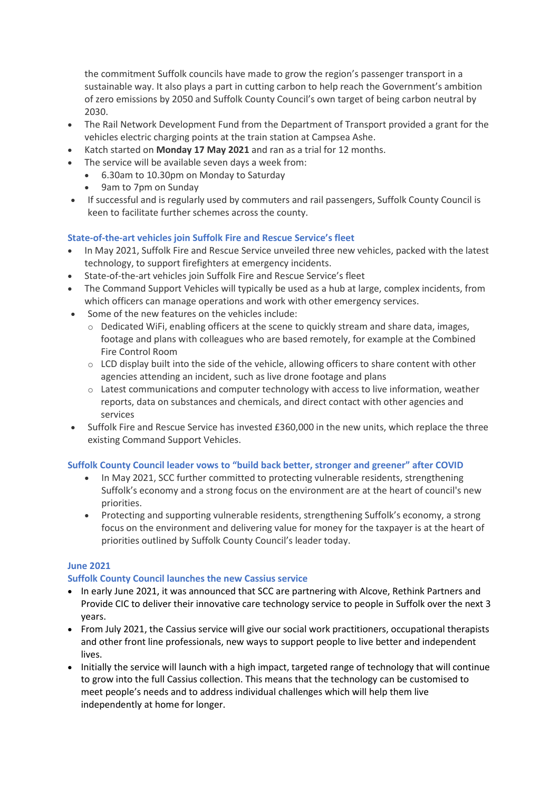the commitment Suffolk councils have made to grow the region's passenger transport in a sustainable way. It also plays a part in cutting carbon to help reach the Government's ambition of zero emissions by 2050 and Suffolk County Council's own target of being carbon neutral by 2030.

- The Rail Network Development Fund from the Department of Transport provided a grant for the vehicles electric charging points at the train station at Campsea Ashe.
- Katch started on **Monday 17 May 2021** and ran as a trial for 12 months.
- The service will be available seven days a week from:
	- 6.30am to 10.30pm on Monday to Saturday
		- 9am to 7pm on Sunday
- If successful and is regularly used by commuters and rail passengers, Suffolk County Council is keen to facilitate further schemes across the county.

#### **State-of-the-art vehicles join Suffolk Fire and Rescue Service's fleet**

- In May 2021, Suffolk Fire and Rescue Service unveiled three new vehicles, packed with the latest technology, to support firefighters at emergency incidents.
- State-of-the-art vehicles join Suffolk Fire and Rescue Service's fleet
- The Command Support Vehicles will typically be used as a hub at large, complex incidents, from which officers can manage operations and work with other emergency services.
- Some of the new features on the vehicles include:
	- $\circ$  Dedicated WiFi, enabling officers at the scene to quickly stream and share data, images, footage and plans with colleagues who are based remotely, for example at the Combined Fire Control Room
	- o LCD display built into the side of the vehicle, allowing officers to share content with other agencies attending an incident, such as live drone footage and plans
	- $\circ$  Latest communications and computer technology with access to live information, weather reports, data on substances and chemicals, and direct contact with other agencies and services
- Suffolk Fire and Rescue Service has invested £360,000 in the new units, which replace the three existing Command Support Vehicles.

#### **Suffolk County Council leader vows to "build back better, stronger and greener" after COVID**

- In May 2021, SCC further committed to protecting vulnerable residents, strengthening Suffolk's economy and a strong focus on the environment are at the heart of council's new priorities.
- Protecting and supporting vulnerable residents, strengthening Suffolk's economy, a strong focus on the environment and delivering value for money for the taxpayer is at the heart of priorities outlined by Suffolk County Council's leader today.

#### **June 2021**

#### **Suffolk County Council launches the new Cassius service**

- In early June 2021, it was announced that SCC are partnering with Alcove, Rethink Partners and Provide CIC to deliver their innovative care technology service to people in Suffolk over the next 3 years.
- From July 2021, the Cassius service will give our social work practitioners, occupational therapists and other front line professionals, new ways to support people to live better and independent lives.
- Initially the service will launch with a high impact, targeted range of technology that will continue to grow into the full Cassius collection. This means that the technology can be customised to meet people's needs and to address individual challenges which will help them live independently at home for longer.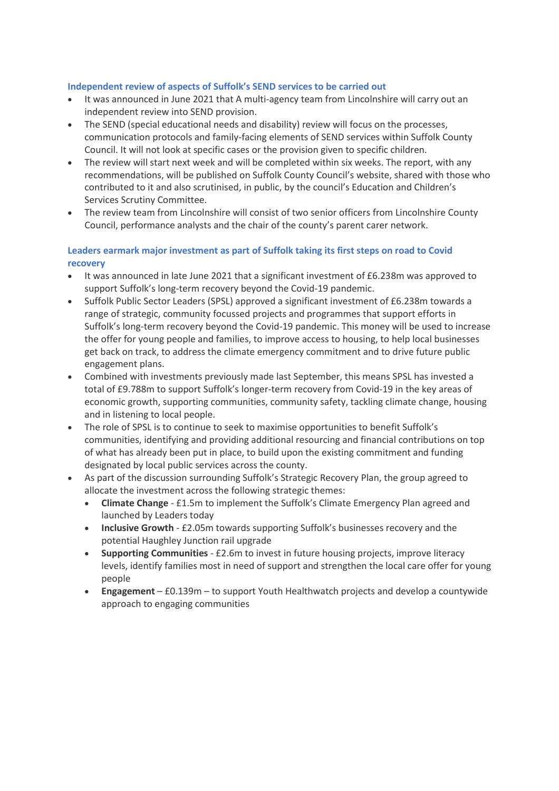#### **Independent review of aspects of Suffolk's SEND services to be carried out**

- It was announced in June 2021 that A multi-agency team from Lincolnshire will carry out an independent review into SEND provision.
- The SEND (special educational needs and disability) review will focus on the processes, communication protocols and family-facing elements of SEND services within Suffolk County Council. It will not look at specific cases or the provision given to specific children.
- The review will start next week and will be completed within six weeks. The report, with any recommendations, will be published on Suffolk County Council's website, shared with those who contributed to it and also scrutinised, in public, by the council's Education and Children's Services Scrutiny Committee.
- The review team from Lincolnshire will consist of two senior officers from Lincolnshire County Council, performance analysts and the chair of the county's parent carer network.

## **Leaders earmark major investment as part of Suffolk taking its first steps on road to Covid recovery**

- It was announced in late June 2021 that a significant investment of £6.238m was approved to support Suffolk's long-term recovery beyond the Covid-19 pandemic.
- Suffolk Public Sector Leaders (SPSL) approved a significant investment of £6.238m towards a range of strategic, community focussed projects and programmes that support efforts in Suffolk's long-term recovery beyond the Covid-19 pandemic. This money will be used to increase the offer for young people and families, to improve access to housing, to help local businesses get back on track, to address the climate emergency commitment and to drive future public engagement plans.
- Combined with investments previously made last September, this means SPSL has invested a total of £9.788m to support Suffolk's longer-term recovery from Covid-19 in the key areas of economic growth, supporting communities, community safety, tackling climate change, housing and in listening to local people.
- The role of SPSL is to continue to seek to maximise opportunities to benefit Suffolk's communities, identifying and providing additional resourcing and financial contributions on top of what has already been put in place, to build upon the existing commitment and funding designated by local public services across the county.
- As part of the discussion surrounding Suffolk's Strategic Recovery Plan, the group agreed to allocate the investment across the following strategic themes:
	- **Climate Change** £1.5m to implement the Suffolk's Climate Emergency Plan agreed and launched by Leaders today
	- **Inclusive Growth** £2.05m towards supporting Suffolk's businesses recovery and the potential Haughley Junction rail upgrade
	- **Supporting Communities** £2.6m to invest in future housing projects, improve literacy levels, identify families most in need of support and strengthen the local care offer for young people
	- **Engagement** £0.139m to support Youth Healthwatch projects and develop a countywide approach to engaging communities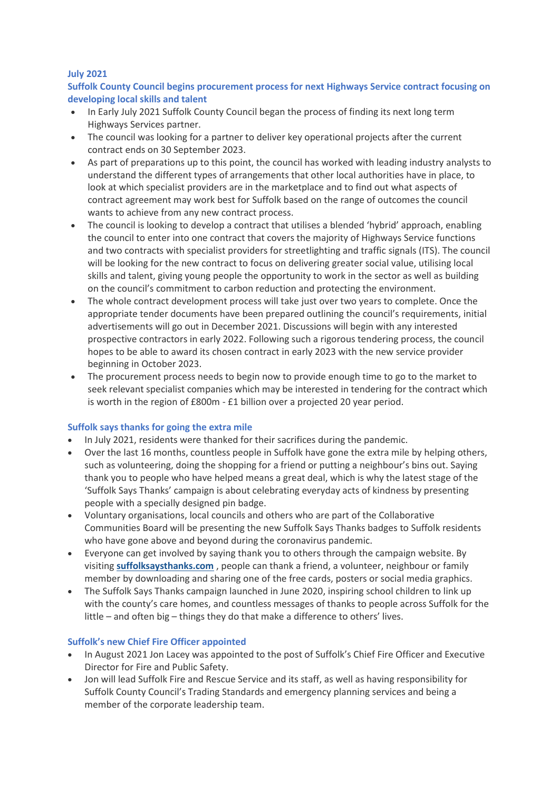#### **July 2021**

# **Suffolk County Council begins procurement process for next Highways Service contract focusing on developing local skills and talent**

- In Early July 2021 Suffolk County Council began the process of finding its next long term Highways Services partner.
- The council was looking for a partner to deliver key operational projects after the current contract ends on 30 September 2023.
- As part of preparations up to this point, the council has worked with leading industry analysts to understand the different types of arrangements that other local authorities have in place, to look at which specialist providers are in the marketplace and to find out what aspects of contract agreement may work best for Suffolk based on the range of outcomes the council wants to achieve from any new contract process.
- The council is looking to develop a contract that utilises a blended 'hybrid' approach, enabling the council to enter into one contract that covers the majority of Highways Service functions and two contracts with specialist providers for streetlighting and traffic signals (ITS). The council will be looking for the new contract to focus on delivering greater social value, utilising local skills and talent, giving young people the opportunity to work in the sector as well as building on the council's commitment to carbon reduction and protecting the environment.
- The whole contract development process will take just over two years to complete. Once the appropriate tender documents have been prepared outlining the council's requirements, initial advertisements will go out in December 2021. Discussions will begin with any interested prospective contractors in early 2022. Following such a rigorous tendering process, the council hopes to be able to award its chosen contract in early 2023 with the new service provider beginning in October 2023.
- The procurement process needs to begin now to provide enough time to go to the market to seek relevant specialist companies which may be interested in tendering for the contract which is worth in the region of £800m - £1 billion over a projected 20 year period.

#### **Suffolk says thanks for going the extra mile**

- In July 2021, residents were thanked for their sacrifices during the pandemic.
- Over the last 16 months, countless people in Suffolk have gone the extra mile by helping others, such as volunteering, doing the shopping for a friend or putting a neighbour's bins out. Saying thank you to people who have helped means a great deal, which is why the latest stage of the 'Suffolk Says Thanks' campaign is about celebrating everyday acts of kindness by presenting people with a specially designed pin badge.
- Voluntary organisations, local councils and others who are part of the Collaborative Communities Board will be presenting the new Suffolk Says Thanks badges to Suffolk residents who have gone above and beyond during the coronavirus pandemic.
- Everyone can get involved by saying thank you to others through the campaign website. By visiting **[suffolksaysthanks.com](about:blank)** , people can thank a friend, a volunteer, neighbour or family member by downloading and sharing one of the free cards, posters or social media graphics.
- The Suffolk Says Thanks campaign launched in June 2020, inspiring school children to link up with the county's care homes, and countless messages of thanks to people across Suffolk for the little – and often big – things they do that make a difference to others' lives.

#### **Suffolk's new Chief Fire Officer appointed**

- In August 2021 Jon Lacey was appointed to the post of Suffolk's Chief Fire Officer and Executive Director for Fire and Public Safety.
- Jon will lead Suffolk Fire and Rescue Service and its staff, as well as having responsibility for Suffolk County Council's Trading Standards and emergency planning services and being a member of the corporate leadership team.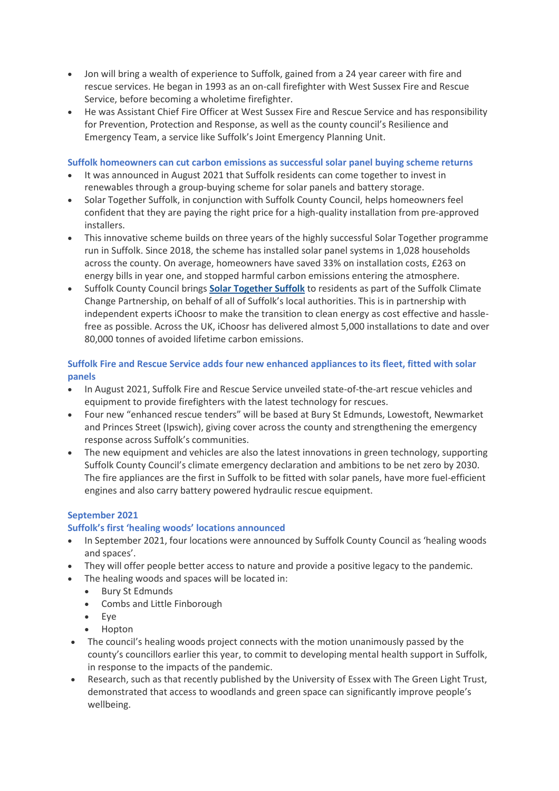- Jon will bring a wealth of experience to Suffolk, gained from a 24 year career with fire and rescue services. He began in 1993 as an on-call firefighter with West Sussex Fire and Rescue Service, before becoming a wholetime firefighter.
- He was Assistant Chief Fire Officer at West Sussex Fire and Rescue Service and has responsibility for Prevention, Protection and Response, as well as the county council's Resilience and Emergency Team, a service like Suffolk's Joint Emergency Planning Unit.

#### **Suffolk homeowners can cut carbon emissions as successful solar panel buying scheme returns**

- It was announced in August 2021 that Suffolk residents can come together to invest in renewables through a group-buying scheme for solar panels and battery storage.
- Solar Together Suffolk, in conjunction with Suffolk County Council, helps homeowners feel confident that they are paying the right price for a high-quality installation from pre-approved installers.
- This innovative scheme builds on three years of the highly successful Solar Together programme run in Suffolk. Since 2018, the scheme has installed solar panel systems in 1,028 households across the county. On average, homeowners have saved 33% on installation costs, £263 on energy bills in year one, and stopped harmful carbon emissions entering the atmosphere.
- Suffolk County Council brings **[Solar Together Suffolk](about:blank)** to residents as part of the Suffolk Climate Change Partnership, on behalf of all of Suffolk's local authorities. This is in partnership with independent experts iChoosr to make the transition to clean energy as cost effective and hasslefree as possible. Across the UK, iChoosr has delivered almost 5,000 installations to date and over 80,000 tonnes of avoided lifetime carbon emissions.

# **Suffolk Fire and Rescue Service adds four new enhanced appliances to its fleet, fitted with solar panels**

- In August 2021, Suffolk Fire and Rescue Service unveiled state-of-the-art rescue vehicles and equipment to provide firefighters with the latest technology for rescues.
- Four new "enhanced rescue tenders" will be based at Bury St Edmunds, Lowestoft, Newmarket and Princes Street (Ipswich), giving cover across the county and strengthening the emergency response across Suffolk's communities.
- The new equipment and vehicles are also the latest innovations in green technology, supporting Suffolk County Council's climate emergency declaration and ambitions to be net zero by 2030. The fire appliances are the first in Suffolk to be fitted with solar panels, have more fuel-efficient engines and also carry battery powered hydraulic rescue equipment.

# **September 2021**

# **Suffolk's first 'healing woods' locations announced**

- In September 2021, four locations were announced by Suffolk County Council as 'healing woods and spaces'.
- They will offer people better access to nature and provide a positive legacy to the pandemic.
- The healing woods and spaces will be located in:
	- Bury St Edmunds
	- Combs and Little Finborough
	- Eye
	- Hopton
- The council's healing woods project connects with the motion unanimously passed by the county's councillors earlier this year, to commit to developing mental health support in Suffolk, in response to the impacts of the pandemic.
- Research, such as that recently published by the University of Essex with The Green Light Trust, demonstrated that access to woodlands and green space can significantly improve people's wellbeing.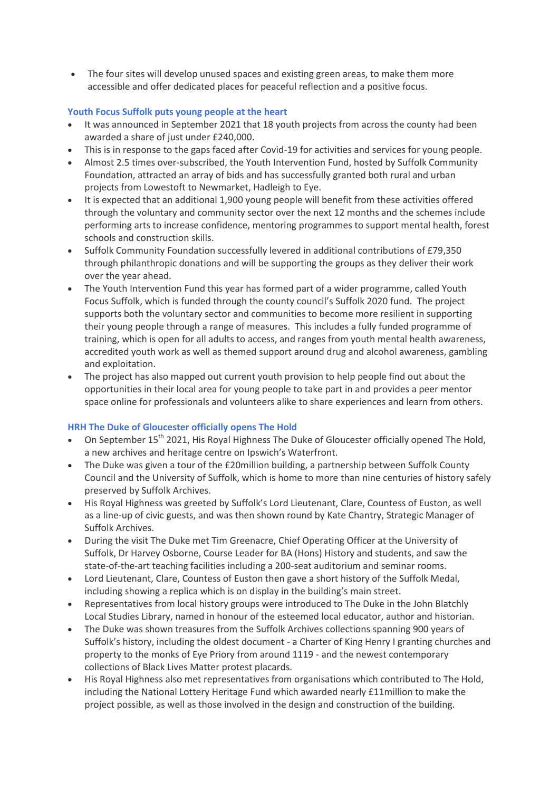• The four sites will develop unused spaces and existing green areas, to make them more accessible and offer dedicated places for peaceful reflection and a positive focus.

# **Youth Focus Suffolk puts young people at the heart**

- It was announced in September 2021 that 18 youth projects from across the county had been awarded a share of just under £240,000.
- This is in response to the gaps faced after Covid-19 for activities and services for young people.
- Almost 2.5 times over-subscribed, the Youth Intervention Fund, hosted by Suffolk Community Foundation, attracted an array of bids and has successfully granted both rural and urban projects from Lowestoft to Newmarket, Hadleigh to Eye.
- It is expected that an additional 1,900 young people will benefit from these activities offered through the voluntary and community sector over the next 12 months and the schemes include performing arts to increase confidence, mentoring programmes to support mental health, forest schools and construction skills.
- Suffolk Community Foundation successfully levered in additional contributions of £79,350 through philanthropic donations and will be supporting the groups as they deliver their work over the year ahead.
- The Youth Intervention Fund this year has formed part of a wider programme, called Youth Focus Suffolk, which is funded through the county council's Suffolk 2020 fund. The project supports both the voluntary sector and communities to become more resilient in supporting their young people through a range of measures. This includes a fully funded programme of training, which is open for all adults to access, and ranges from youth mental health awareness, accredited youth work as well as themed support around drug and alcohol awareness, gambling and exploitation.
- The project has also mapped out current youth provision to help people find out about the opportunities in their local area for young people to take part in and provides a peer mentor space online for professionals and volunteers alike to share experiences and learn from others.

# **HRH The Duke of Gloucester officially opens The Hold**

- On September 15<sup>th</sup> 2021, His Royal Highness The Duke of Gloucester officially opened The Hold, a new archives and heritage centre on Ipswich's Waterfront.
- The Duke was given a tour of the £20million building, a partnership between Suffolk County Council and the University of Suffolk, which is home to more than nine centuries of history safely preserved by Suffolk Archives.
- His Royal Highness was greeted by Suffolk's Lord Lieutenant, Clare, Countess of Euston, as well as a line-up of civic guests, and was then shown round by Kate Chantry, Strategic Manager of Suffolk Archives.
- During the visit The Duke met Tim Greenacre, Chief Operating Officer at the University of Suffolk, Dr Harvey Osborne, Course Leader for BA (Hons) History and students, and saw the state-of-the-art teaching facilities including a 200-seat auditorium and seminar rooms.
- Lord Lieutenant, Clare, Countess of Euston then gave a short history of the Suffolk Medal, including showing a replica which is on display in the building's main street.
- Representatives from local history groups were introduced to The Duke in the John Blatchly Local Studies Library, named in honour of the esteemed local educator, author and historian.
- The Duke was shown treasures from the Suffolk Archives collections spanning 900 years of Suffolk's history, including the oldest document - a Charter of King Henry I granting churches and property to the monks of Eye Priory from around 1119 - and the newest contemporary collections of Black Lives Matter protest placards.
- His Royal Highness also met representatives from organisations which contributed to The Hold, including the National Lottery Heritage Fund which awarded nearly £11million to make the project possible, as well as those involved in the design and construction of the building.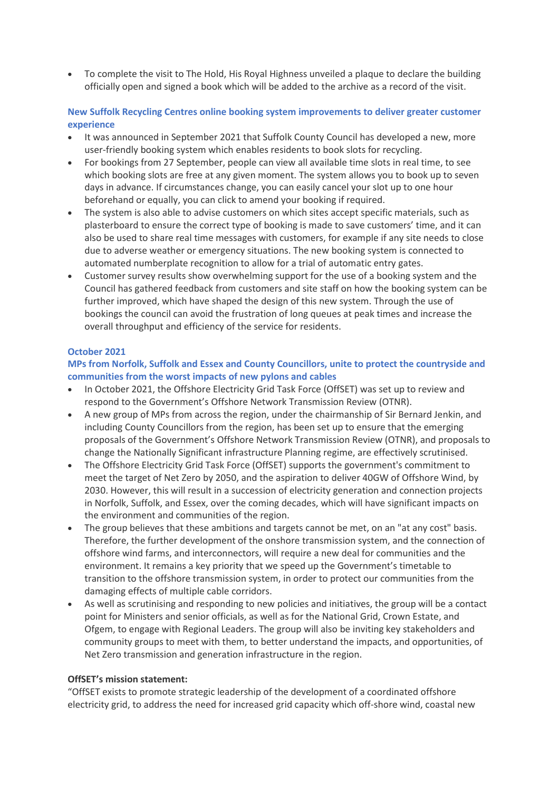To complete the visit to The Hold, His Royal Highness unveiled a plaque to declare the building officially open and signed a book which will be added to the archive as a record of the visit.

**New Suffolk Recycling Centres online booking system improvements to deliver greater customer experience**

- It was announced in September 2021 that Suffolk County Council has developed a new, more user-friendly booking system which enables residents to book slots for recycling.
- For bookings from 27 September, people can view all available time slots in real time, to see which booking slots are free at any given moment. The system allows you to book up to seven days in advance. If circumstances change, you can easily cancel your slot up to one hour beforehand or equally, you can click to amend your booking if required.
- The system is also able to advise customers on which sites accept specific materials, such as plasterboard to ensure the correct type of booking is made to save customers' time, and it can also be used to share real time messages with customers, for example if any site needs to close due to adverse weather or emergency situations. The new booking system is connected to automated numberplate recognition to allow for a trial of automatic entry gates.
- Customer survey results show overwhelming support for the use of a booking system and the Council has gathered feedback from customers and site staff on how the booking system can be further improved, which have shaped the design of this new system. Through the use of bookings the council can avoid the frustration of long queues at peak times and increase the overall throughput and efficiency of the service for residents.

#### **October 2021**

**MPs from Norfolk, Suffolk and Essex and County Councillors, unite to protect the countryside and communities from the worst impacts of new pylons and cables**

- In October 2021, the Offshore Electricity Grid Task Force (OffSET) was set up to review and respond to the Government's Offshore Network Transmission Review (OTNR).
- A new group of MPs from across the region, under the chairmanship of Sir Bernard Jenkin, and including County Councillors from the region, has been set up to ensure that the emerging proposals of the Government's Offshore Network Transmission Review (OTNR), and proposals to change the Nationally Significant infrastructure Planning regime, are effectively scrutinised.
- The Offshore Electricity Grid Task Force (OffSET) supports the government's commitment to meet the target of Net Zero by 2050, and the aspiration to deliver 40GW of Offshore Wind, by 2030. However, this will result in a succession of electricity generation and connection projects in Norfolk, Suffolk, and Essex, over the coming decades, which will have significant impacts on the environment and communities of the region.
- The group believes that these ambitions and targets cannot be met, on an "at any cost" basis. Therefore, the further development of the onshore transmission system, and the connection of offshore wind farms, and interconnectors, will require a new deal for communities and the environment. It remains a key priority that we speed up the Government's timetable to transition to the offshore transmission system, in order to protect our communities from the damaging effects of multiple cable corridors.
- As well as scrutinising and responding to new policies and initiatives, the group will be a contact point for Ministers and senior officials, as well as for the National Grid, Crown Estate, and Ofgem, to engage with Regional Leaders. The group will also be inviting key stakeholders and community groups to meet with them, to better understand the impacts, and opportunities, of Net Zero transmission and generation infrastructure in the region.

#### **OffSET's mission statement:**

"OffSET exists to promote strategic leadership of the development of a coordinated offshore electricity grid, to address the need for increased grid capacity which off-shore wind, coastal new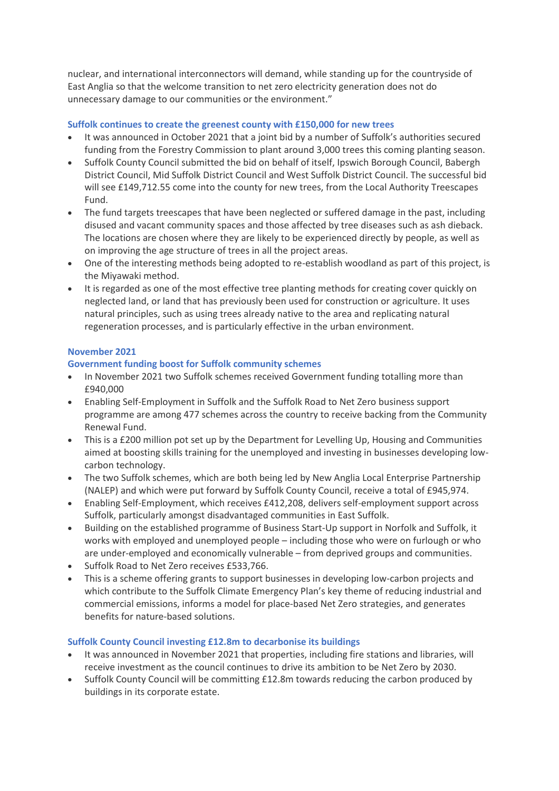nuclear, and international interconnectors will demand, while standing up for the countryside of East Anglia so that the welcome transition to net zero electricity generation does not do unnecessary damage to our communities or the environment."

#### **Suffolk continues to create the greenest county with £150,000 for new trees**

- It was announced in October 2021 that a joint bid by a number of Suffolk's authorities secured funding from the Forestry Commission to plant around 3,000 trees this coming planting season.
- Suffolk County Council submitted the bid on behalf of itself, Ipswich Borough Council, Babergh District Council, Mid Suffolk District Council and West Suffolk District Council. The successful bid will see £149,712.55 come into the county for new trees, from the Local Authority Treescapes Fund.
- The fund targets treescapes that have been neglected or suffered damage in the past, including disused and vacant community spaces and those affected by tree diseases such as ash dieback. The locations are chosen where they are likely to be experienced directly by people, as well as on improving the age structure of trees in all the project areas.
- One of the interesting methods being adopted to re-establish woodland as part of this project, is the Miyawaki method.
- It is regarded as one of the most effective tree planting methods for creating cover quickly on neglected land, or land that has previously been used for construction or agriculture. It uses natural principles, such as using trees already native to the area and replicating natural regeneration processes, and is particularly effective in the urban environment.

#### **November 2021**

#### **Government funding boost for Suffolk community schemes**

- In November 2021 two Suffolk schemes received Government funding totalling more than £940,000
- Enabling Self-Employment in Suffolk and the Suffolk Road to Net Zero business support programme are among 477 schemes across the country to receive backing from the Community Renewal Fund.
- This is a £200 million pot set up by the Department for Levelling Up, Housing and Communities aimed at boosting skills training for the unemployed and investing in businesses developing lowcarbon technology.
- The two Suffolk schemes, which are both being led by New Anglia Local Enterprise Partnership (NALEP) and which were put forward by Suffolk County Council, receive a total of £945,974.
- Enabling Self-Employment, which receives £412,208, delivers self-employment support across Suffolk, particularly amongst disadvantaged communities in East Suffolk.
- Building on the established programme of Business Start-Up support in Norfolk and Suffolk, it works with employed and unemployed people – including those who were on furlough or who are under-employed and economically vulnerable – from deprived groups and communities.
- Suffolk Road to Net Zero receives £533,766.
- This is a scheme offering grants to support businesses in developing low-carbon projects and which contribute to the Suffolk Climate Emergency Plan's key theme of reducing industrial and commercial emissions, informs a model for place-based Net Zero strategies, and generates benefits for nature-based solutions.

#### **Suffolk County Council investing £12.8m to decarbonise its buildings**

- It was announced in November 2021 that properties, including fire stations and libraries, will receive investment as the council continues to drive its ambition to be Net Zero by 2030.
- Suffolk County Council will be committing £12.8m towards reducing the carbon produced by buildings in its corporate estate.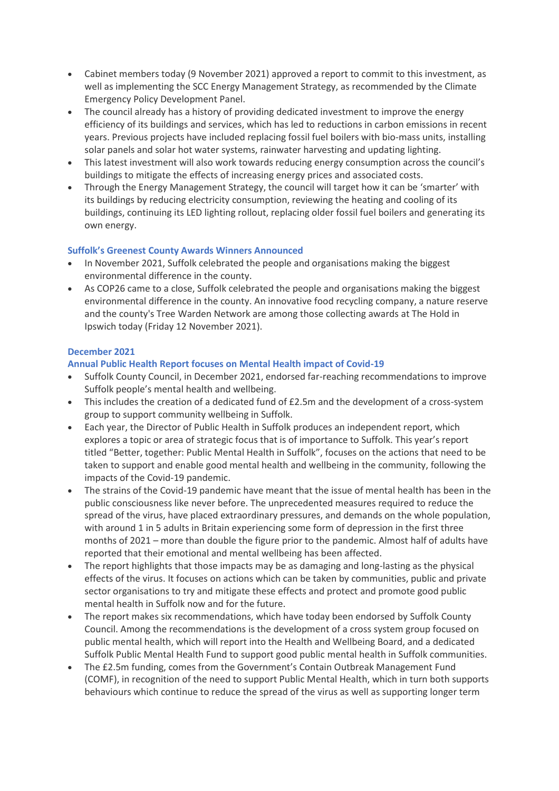- Cabinet members today (9 November 2021) approved a report to commit to this investment, as well as implementing the SCC Energy Management Strategy, as recommended by the Climate Emergency Policy Development Panel.
- The council already has a history of providing dedicated investment to improve the energy efficiency of its buildings and services, which has led to reductions in carbon emissions in recent years. Previous projects have included replacing fossil fuel boilers with bio-mass units, installing solar panels and solar hot water systems, rainwater harvesting and updating lighting.
- This latest investment will also work towards reducing energy consumption across the council's buildings to mitigate the effects of increasing energy prices and associated costs.
- Through the Energy Management Strategy, the council will target how it can be 'smarter' with its buildings by reducing electricity consumption, reviewing the heating and cooling of its buildings, continuing its LED lighting rollout, replacing older fossil fuel boilers and generating its own energy.

# **Suffolk's Greenest County Awards Winners Announced**

- In November 2021, Suffolk celebrated the people and organisations making the biggest environmental difference in the county.
- As COP26 came to a close, Suffolk celebrated the people and organisations making the biggest environmental difference in the county. An innovative food recycling company, a nature reserve and the county's Tree Warden Network are among those collecting awards at The Hold in Ipswich today (Friday 12 November 2021).

#### **December 2021**

#### **Annual Public Health Report focuses on Mental Health impact of Covid-19**

- Suffolk County Council, in December 2021, endorsed far-reaching recommendations to improve Suffolk people's mental health and wellbeing.
- This includes the creation of a dedicated fund of £2.5m and the development of a cross-system group to support community wellbeing in Suffolk.
- Each year, the Director of Public Health in Suffolk produces an independent report, which explores a topic or area of strategic focus that is of importance to Suffolk. This year's report titled "Better, together: Public Mental Health in Suffolk", focuses on the actions that need to be taken to support and enable good mental health and wellbeing in the community, following the impacts of the Covid-19 pandemic.
- The strains of the Covid-19 pandemic have meant that the issue of mental health has been in the public consciousness like never before. The unprecedented measures required to reduce the spread of the virus, have placed extraordinary pressures, and demands on the whole population, with around 1 in 5 adults in Britain experiencing some form of depression in the first three months of 2021 – more than double the figure prior to the pandemic. Almost half of adults have reported that their emotional and mental wellbeing has been affected.
- The report highlights that those impacts may be as damaging and long-lasting as the physical effects of the virus. It focuses on actions which can be taken by communities, public and private sector organisations to try and mitigate these effects and protect and promote good public mental health in Suffolk now and for the future.
- The report makes six recommendations, which have today been endorsed by Suffolk County Council. Among the recommendations is the development of a cross system group focused on public mental health, which will report into the Health and Wellbeing Board, and a dedicated Suffolk Public Mental Health Fund to support good public mental health in Suffolk communities.
- The £2.5m funding, comes from the Government's Contain Outbreak Management Fund (COMF), in recognition of the need to support Public Mental Health, which in turn both supports behaviours which continue to reduce the spread of the virus as well as supporting longer term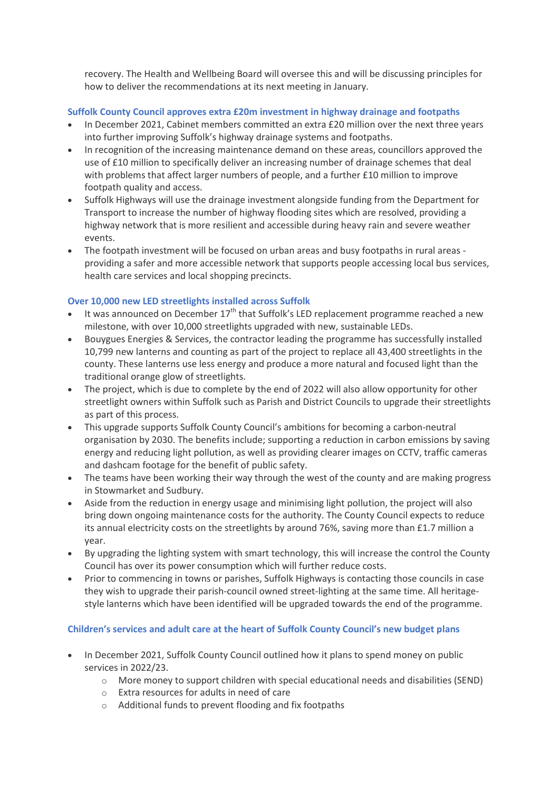recovery. The Health and Wellbeing Board will oversee this and will be discussing principles for how to deliver the recommendations at its next meeting in January.

## **Suffolk County Council approves extra £20m investment in highway drainage and footpaths**

- In December 2021, Cabinet members committed an extra £20 million over the next three years into further improving Suffolk's highway drainage systems and footpaths.
- In recognition of the increasing maintenance demand on these areas, councillors approved the use of £10 million to specifically deliver an increasing number of drainage schemes that deal with problems that affect larger numbers of people, and a further £10 million to improve footpath quality and access.
- Suffolk Highways will use the drainage investment alongside funding from the Department for Transport to increase the number of highway flooding sites which are resolved, providing a highway network that is more resilient and accessible during heavy rain and severe weather events.
- The footpath investment will be focused on urban areas and busy footpaths in rural areas providing a safer and more accessible network that supports people accessing local bus services, health care services and local shopping precincts.

# **Over 10,000 new LED streetlights installed across Suffolk**

- It was announced on December  $17<sup>th</sup>$  that Suffolk's LED replacement programme reached a new milestone, with over 10,000 streetlights upgraded with new, sustainable LEDs.
- Bouygues Energies & Services, the contractor leading the programme has successfully installed 10,799 new lanterns and counting as part of the project to replace all 43,400 streetlights in the county. These lanterns use less energy and produce a more natural and focused light than the traditional orange glow of streetlights.
- The project, which is due to complete by the end of 2022 will also allow opportunity for other streetlight owners within Suffolk such as Parish and District Councils to upgrade their streetlights as part of this process.
- This upgrade supports Suffolk County Council's ambitions for becoming a carbon-neutral organisation by 2030. The benefits include; supporting a reduction in carbon emissions by saving energy and reducing light pollution, as well as providing clearer images on CCTV, traffic cameras and dashcam footage for the benefit of public safety.
- The teams have been working their way through the west of the county and are making progress in Stowmarket and Sudbury.
- Aside from the reduction in energy usage and minimising light pollution, the project will also bring down ongoing maintenance costs for the authority. The County Council expects to reduce its annual electricity costs on the streetlights by around 76%, saving more than £1.7 million a year.
- By upgrading the lighting system with smart technology, this will increase the control the County Council has over its power consumption which will further reduce costs.
- Prior to commencing in towns or parishes, Suffolk Highways is contacting those councils in case they wish to upgrade their parish-council owned street-lighting at the same time. All heritagestyle lanterns which have been identified will be upgraded towards the end of the programme.

#### **Children's services and adult care at the heart of Suffolk County Council's new budget plans**

- In December 2021, Suffolk County Council outlined how it plans to spend money on public services in 2022/23.
	- $\circ$  More money to support children with special educational needs and disabilities (SEND)
	- o Extra resources for adults in need of care
	- o Additional funds to prevent flooding and fix footpaths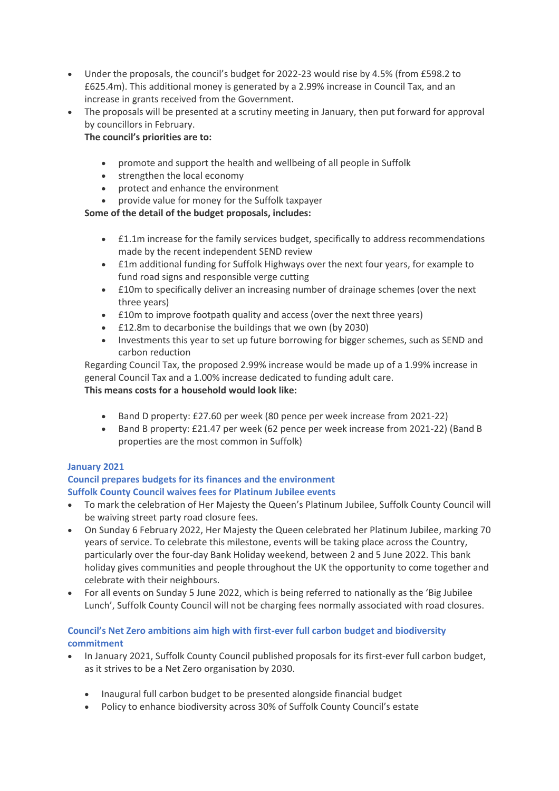- Under the proposals, the council's budget for 2022-23 would rise by 4.5% (from £598.2 to £625.4m). This additional money is generated by a 2.99% increase in Council Tax, and an increase in grants received from the Government.
- The proposals will be presented at a scrutiny meeting in January, then put forward for approval by councillors in February.

# **The council's priorities are to:**

- promote and support the health and wellbeing of all people in Suffolk
- strengthen the local economy
- protect and enhance the environment
- provide value for money for the Suffolk taxpayer

# **Some of the detail of the budget proposals, includes:**

- £1.1m increase for the family services budget, specifically to address recommendations made by the recent independent SEND review
- £1m additional funding for Suffolk Highways over the next four years, for example to fund road signs and responsible verge cutting
- £10m to specifically deliver an increasing number of drainage schemes (over the next three years)
- £10m to improve footpath quality and access (over the next three years)
- £12.8m to decarbonise the buildings that we own (by 2030)
- Investments this year to set up future borrowing for bigger schemes, such as SEND and carbon reduction

Regarding Council Tax, the proposed 2.99% increase would be made up of a 1.99% increase in general Council Tax and a 1.00% increase dedicated to funding adult care. **This means costs for a household would look like:**

- Band D property: £27.60 per week (80 pence per week increase from 2021-22)
- Band B property: £21.47 per week (62 pence per week increase from 2021-22) (Band B properties are the most common in Suffolk)

# **January 2021**

#### **Council prepares budgets for its finances and the environment Suffolk County Council waives fees for Platinum Jubilee events**

- To mark the celebration of Her Majesty the Queen's Platinum Jubilee, Suffolk County Council will be waiving street party road closure fees.
- On Sunday 6 February 2022, Her Majesty the Queen celebrated her Platinum Jubilee, marking 70 years of service. To celebrate this milestone, events will be taking place across the Country, particularly over the four-day Bank Holiday weekend, between 2 and 5 June 2022. This bank holiday gives communities and people throughout the UK the opportunity to come together and celebrate with their neighbours.
- For all events on Sunday 5 June 2022, which is being referred to nationally as the 'Big Jubilee Lunch', Suffolk County Council will not be charging fees normally associated with road closures.

# **Council's Net Zero ambitions aim high with first-ever full carbon budget and biodiversity commitment**

- In January 2021, Suffolk County Council published proposals for its first-ever full carbon budget, as it strives to be a Net Zero organisation by 2030.
	- Inaugural full carbon budget to be presented alongside financial budget
	- Policy to enhance biodiversity across 30% of Suffolk County Council's estate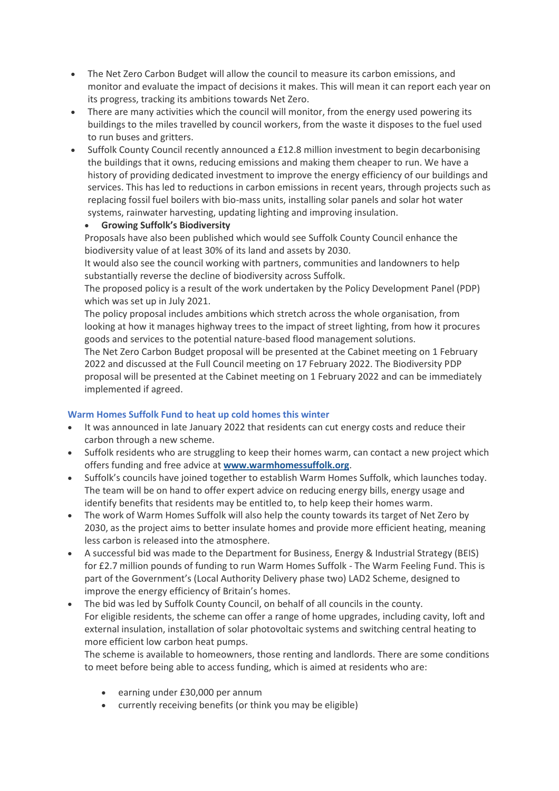- The Net Zero Carbon Budget will allow the council to measure its carbon emissions, and monitor and evaluate the impact of decisions it makes. This will mean it can report each year on its progress, tracking its ambitions towards Net Zero.
- There are many activities which the council will monitor, from the energy used powering its buildings to the miles travelled by council workers, from the waste it disposes to the fuel used to run buses and gritters.
- Suffolk County Council recently announced a £12.8 million investment to begin decarbonising the buildings that it owns, reducing emissions and making them cheaper to run. We have a history of providing dedicated investment to improve the energy efficiency of our buildings and services. This has led to reductions in carbon emissions in recent years, through projects such as replacing fossil fuel boilers with bio-mass units, installing solar panels and solar hot water systems, rainwater harvesting, updating lighting and improving insulation.

#### **Growing Suffolk's Biodiversity**

Proposals have also been published which would see Suffolk County Council enhance the biodiversity value of at least 30% of its land and assets by 2030.

It would also see the council working with partners, communities and landowners to help substantially reverse the decline of biodiversity across Suffolk.

The proposed policy is a result of the work undertaken by the Policy Development Panel (PDP) which was set up in July 2021.

The policy proposal includes ambitions which stretch across the whole organisation, from looking at how it manages highway trees to the impact of street lighting, from how it procures goods and services to the potential nature-based flood management solutions.

The Net Zero Carbon Budget proposal will be presented at the Cabinet meeting on 1 February 2022 and discussed at the Full Council meeting on 17 February 2022. The Biodiversity PDP proposal will be presented at the Cabinet meeting on 1 February 2022 and can be immediately implemented if agreed.

# **Warm Homes Suffolk Fund to heat up cold homes this winter**

- It was announced in late January 2022 that residents can cut energy costs and reduce their carbon through a new scheme.
- Suffolk residents who are struggling to keep their homes warm, can contact a new project which offers funding and free advice at **[www.warmhomessuffolk.org](about:blank)**.
- Suffolk's councils have joined together to establish Warm Homes Suffolk, which launches today. The team will be on hand to offer expert advice on reducing energy bills, energy usage and identify benefits that residents may be entitled to, to help keep their homes warm.
- The work of Warm Homes Suffolk will also help the county towards its target of Net Zero by 2030, as the project aims to better insulate homes and provide more efficient heating, meaning less carbon is released into the atmosphere.
- A successful bid was made to the Department for Business, Energy & Industrial Strategy (BEIS) for £2.7 million pounds of funding to run Warm Homes Suffolk - The Warm Feeling Fund. This is part of the Government's (Local Authority Delivery phase two) LAD2 Scheme, designed to improve the energy efficiency of Britain's homes.
- The bid was led by Suffolk County Council, on behalf of all councils in the county. For eligible residents, the scheme can offer a range of home upgrades, including cavity, loft and external insulation, installation of solar photovoltaic systems and switching central heating to more efficient low carbon heat pumps.

The scheme is available to homeowners, those renting and landlords. There are some conditions to meet before being able to access funding, which is aimed at residents who are:

- earning under £30,000 per annum
- currently receiving benefits (or think you may be eligible)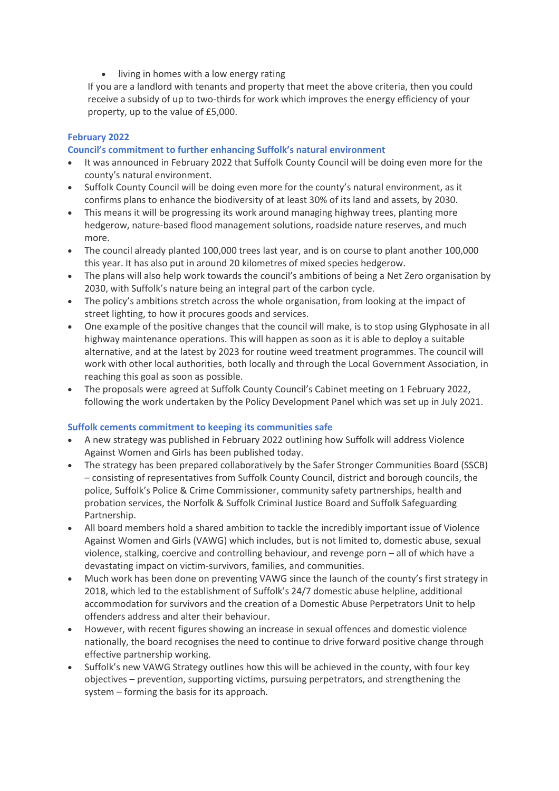• living in homes with a low energy rating

If you are a landlord with tenants and property that meet the above criteria, then you could receive a subsidy of up to two-thirds for work which improves the energy efficiency of your property, up to the value of £5,000.

# **February 2022**

## **Council's commitment to further enhancing Suffolk's natural environment**

- It was announced in February 2022 that Suffolk County Council will be doing even more for the county's natural environment.
- Suffolk County Council will be doing even more for the county's natural environment, as it confirms plans to enhance the biodiversity of at least 30% of its land and assets, by 2030.
- This means it will be progressing its work around managing highway trees, planting more hedgerow, nature-based flood management solutions, roadside nature reserves, and much more.
- The council already planted 100,000 trees last year, and is on course to plant another 100,000 this year. It has also put in around 20 kilometres of mixed species hedgerow.
- The plans will also help work towards the council's ambitions of being a Net Zero organisation by 2030, with Suffolk's nature being an integral part of the carbon cycle.
- The policy's ambitions stretch across the whole organisation, from looking at the impact of street lighting, to how it procures goods and services.
- One example of the positive changes that the council will make, is to stop using Glyphosate in all highway maintenance operations. This will happen as soon as it is able to deploy a suitable alternative, and at the latest by 2023 for routine weed treatment programmes. The council will work with other local authorities, both locally and through the Local Government Association, in reaching this goal as soon as possible.
- The proposals were agreed at Suffolk County Council's Cabinet meeting on 1 February 2022, following the work undertaken by the Policy Development Panel which was set up in July 2021.

#### **Suffolk cements commitment to keeping its communities safe**

- A new strategy was published in February 2022 outlining how Suffolk will address Violence Against Women and Girls has been published today.
- The strategy has been prepared collaboratively by the Safer Stronger Communities Board (SSCB) – consisting of representatives from Suffolk County Council, district and borough councils, the police, Suffolk's Police & Crime Commissioner, community safety partnerships, health and probation services, the Norfolk & Suffolk Criminal Justice Board and Suffolk Safeguarding Partnership.
- All board members hold a shared ambition to tackle the incredibly important issue of Violence Against Women and Girls (VAWG) which includes, but is not limited to, domestic abuse, sexual violence, stalking, coercive and controlling behaviour, and revenge porn – all of which have a devastating impact on victim-survivors, families, and communities.
- Much work has been done on preventing VAWG since the launch of the county's first strategy in 2018, which led to the establishment of Suffolk's 24/7 domestic abuse helpline, additional accommodation for survivors and the creation of a Domestic Abuse Perpetrators Unit to help offenders address and alter their behaviour.
- However, with recent figures showing an increase in sexual offences and domestic violence nationally, the board recognises the need to continue to drive forward positive change through effective partnership working.
- Suffolk's new VAWG Strategy outlines how this will be achieved in the county, with four key objectives – prevention, supporting victims, pursuing perpetrators, and strengthening the system – forming the basis for its approach.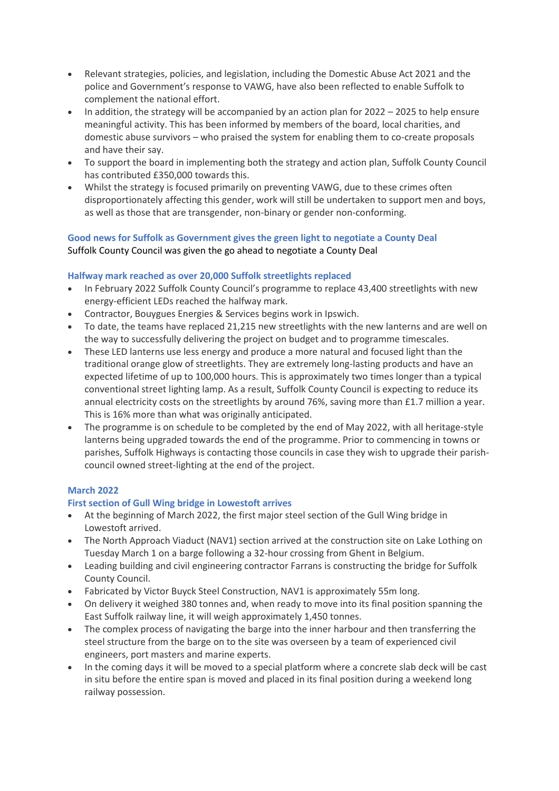- Relevant strategies, policies, and legislation, including the Domestic Abuse Act 2021 and the police and Government's response to VAWG, have also been reflected to enable Suffolk to complement the national effort.
- $\bullet$  In addition, the strategy will be accompanied by an action plan for 2022 2025 to help ensure meaningful activity. This has been informed by members of the board, local charities, and domestic abuse survivors – who praised the system for enabling them to co-create proposals and have their say.
- To support the board in implementing both the strategy and action plan, Suffolk County Council has contributed £350,000 towards this.
- Whilst the strategy is focused primarily on preventing VAWG, due to these crimes often disproportionately affecting this gender, work will still be undertaken to support men and boys, as well as those that are transgender, non-binary or gender non-conforming.

# **Good news for Suffolk as Government gives the green light to negotiate a County Deal** Suffolk County Council was given the go ahead to negotiate a County Deal

# **Halfway mark reached as over 20,000 Suffolk streetlights replaced**

- In February 2022 Suffolk County Council's programme to replace 43,400 streetlights with new energy-efficient LEDs reached the halfway mark.
- Contractor, Bouygues Energies & Services begins work in Ipswich.
- To date, the teams have replaced 21,215 new streetlights with the new lanterns and are well on the way to successfully delivering the project on budget and to programme timescales.
- These LED lanterns use less energy and produce a more natural and focused light than the traditional orange glow of streetlights. They are extremely long-lasting products and have an expected lifetime of up to 100,000 hours. This is approximately two times longer than a typical conventional street lighting lamp. As a result, Suffolk County Council is expecting to reduce its annual electricity costs on the streetlights by around 76%, saving more than £1.7 million a year. This is 16% more than what was originally anticipated.
- The programme is on schedule to be completed by the end of May 2022, with all heritage-style lanterns being upgraded towards the end of the programme. Prior to commencing in towns or parishes, Suffolk Highways is contacting those councils in case they wish to upgrade their parishcouncil owned street-lighting at the end of the project.

# **March 2022**

# **First section of Gull Wing bridge in Lowestoft arrives**

- At the beginning of March 2022, the first major steel section of the Gull Wing bridge in Lowestoft arrived.
- The North Approach Viaduct (NAV1) section arrived at the construction site on Lake Lothing on Tuesday March 1 on a barge following a 32-hour crossing from Ghent in Belgium.
- Leading building and civil engineering contractor Farrans is constructing the bridge for Suffolk County Council.
- Fabricated by Victor Buyck Steel Construction, NAV1 is approximately 55m long.
- On delivery it weighed 380 tonnes and, when ready to move into its final position spanning the East Suffolk railway line, it will weigh approximately 1,450 tonnes.
- The complex process of navigating the barge into the inner harbour and then transferring the steel structure from the barge on to the site was overseen by a team of experienced civil engineers, port masters and marine experts.
- In the coming days it will be moved to a special platform where a concrete slab deck will be cast in situ before the entire span is moved and placed in its final position during a weekend long railway possession.